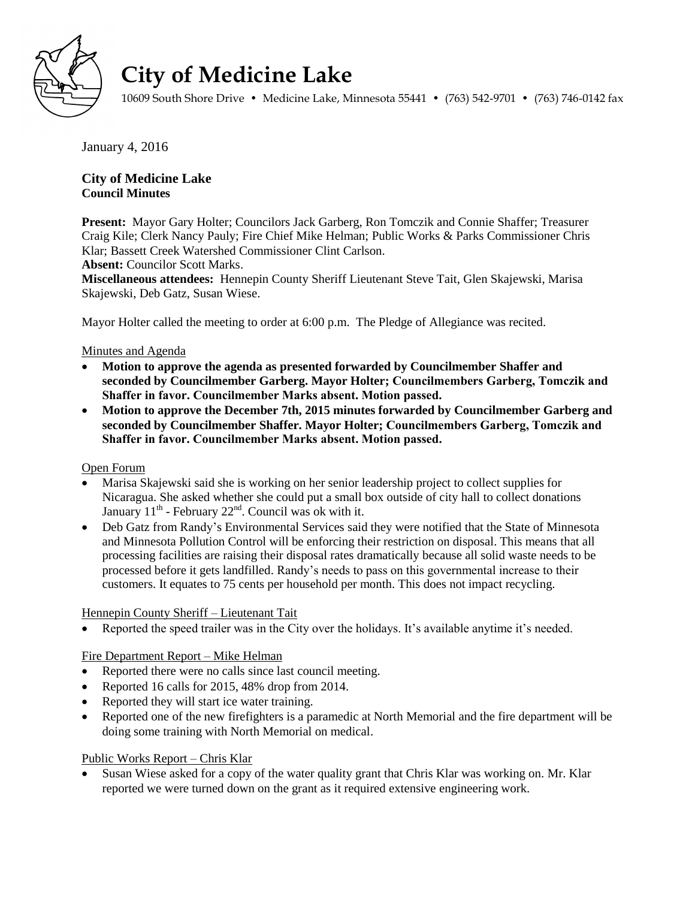

# **City of Medicine Lake**

10609 South Shore Drive • Medicine Lake, Minnesota 55441 • (763) 542-9701 • (763) 746-0142 fax

January 4, 2016

## **City of Medicine Lake Council Minutes**

**Present:** Mayor Gary Holter; Councilors Jack Garberg, Ron Tomczik and Connie Shaffer; Treasurer Craig Kile; Clerk Nancy Pauly; Fire Chief Mike Helman; Public Works & Parks Commissioner Chris Klar; Bassett Creek Watershed Commissioner Clint Carlson.

**Absent:** Councilor Scott Marks.

**Miscellaneous attendees:** Hennepin County Sheriff Lieutenant Steve Tait, Glen Skajewski, Marisa Skajewski, Deb Gatz, Susan Wiese.

Mayor Holter called the meeting to order at 6:00 p.m. The Pledge of Allegiance was recited.

## Minutes and Agenda

- **Motion to approve the agenda as presented forwarded by Councilmember Shaffer and seconded by Councilmember Garberg. Mayor Holter; Councilmembers Garberg, Tomczik and Shaffer in favor. Councilmember Marks absent. Motion passed.**
- **Motion to approve the December 7th, 2015 minutes forwarded by Councilmember Garberg and seconded by Councilmember Shaffer. Mayor Holter; Councilmembers Garberg, Tomczik and Shaffer in favor. Councilmember Marks absent. Motion passed.**

## Open Forum

- Marisa Skajewski said she is working on her senior leadership project to collect supplies for Nicaragua. She asked whether she could put a small box outside of city hall to collect donations January  $11<sup>th</sup>$  - February  $22<sup>nd</sup>$ . Council was ok with it.
- Deb Gatz from Randy's Environmental Services said they were notified that the State of Minnesota and Minnesota Pollution Control will be enforcing their restriction on disposal. This means that all processing facilities are raising their disposal rates dramatically because all solid waste needs to be processed before it gets landfilled. Randy's needs to pass on this governmental increase to their customers. It equates to 75 cents per household per month. This does not impact recycling.

#### Hennepin County Sheriff – Lieutenant Tait

Reported the speed trailer was in the City over the holidays. It's available anytime it's needed.

## Fire Department Report – Mike Helman

- Reported there were no calls since last council meeting.
- Reported 16 calls for 2015, 48% drop from 2014.
- Reported they will start ice water training.
- Reported one of the new firefighters is a paramedic at North Memorial and the fire department will be doing some training with North Memorial on medical.

## Public Works Report – Chris Klar

 Susan Wiese asked for a copy of the water quality grant that Chris Klar was working on. Mr. Klar reported we were turned down on the grant as it required extensive engineering work.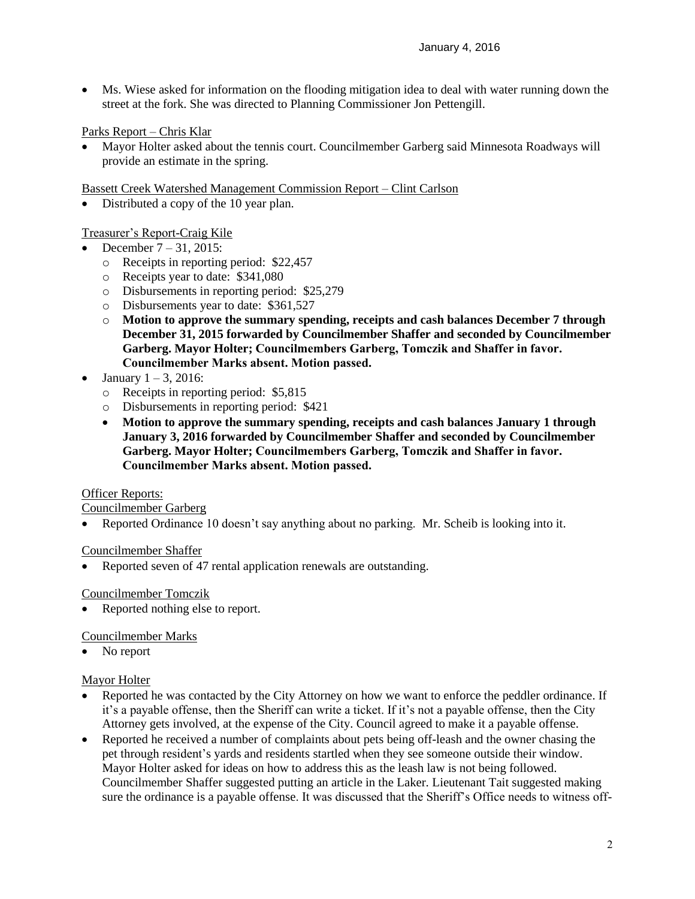Ms. Wiese asked for information on the flooding mitigation idea to deal with water running down the street at the fork. She was directed to Planning Commissioner Jon Pettengill.

## Parks Report – Chris Klar

 Mayor Holter asked about the tennis court. Councilmember Garberg said Minnesota Roadways will provide an estimate in the spring.

Bassett Creek Watershed Management Commission Report – Clint Carlson

• Distributed a copy of the 10 year plan.

## Treasurer's Report-Craig Kile

- December 7 31, 2015:
	- o Receipts in reporting period: \$22,457
	- o Receipts year to date: \$341,080
	- o Disbursements in reporting period: \$25,279
	- o Disbursements year to date: \$361,527
	- o **Motion to approve the summary spending, receipts and cash balances December 7 through December 31, 2015 forwarded by Councilmember Shaffer and seconded by Councilmember Garberg. Mayor Holter; Councilmembers Garberg, Tomczik and Shaffer in favor. Councilmember Marks absent. Motion passed.**
- January  $1 3$ , 2016:
	- o Receipts in reporting period: \$5,815
	- o Disbursements in reporting period: \$421
	- **Motion to approve the summary spending, receipts and cash balances January 1 through January 3, 2016 forwarded by Councilmember Shaffer and seconded by Councilmember Garberg. Mayor Holter; Councilmembers Garberg, Tomczik and Shaffer in favor. Councilmember Marks absent. Motion passed.**

#### Officer Reports:

Councilmember Garberg

• Reported Ordinance 10 doesn't say anything about no parking. Mr. Scheib is looking into it.

#### Councilmember Shaffer

Reported seven of 47 rental application renewals are outstanding.

#### Councilmember Tomczik

Reported nothing else to report.

#### Councilmember Marks

• No report

#### Mayor Holter

- Reported he was contacted by the City Attorney on how we want to enforce the peddler ordinance. If it's a payable offense, then the Sheriff can write a ticket. If it's not a payable offense, then the City Attorney gets involved, at the expense of the City. Council agreed to make it a payable offense.
- Reported he received a number of complaints about pets being off-leash and the owner chasing the pet through resident's yards and residents startled when they see someone outside their window. Mayor Holter asked for ideas on how to address this as the leash law is not being followed. Councilmember Shaffer suggested putting an article in the Laker. Lieutenant Tait suggested making sure the ordinance is a payable offense. It was discussed that the Sheriff's Office needs to witness off-